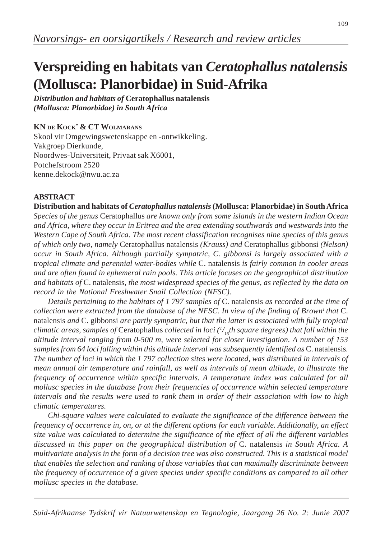# **Verspreiding en habitats van** *Ceratophallus natalensis* **(Mollusca: Planorbidae) in Suid-Afrika**

*Distribution and habitats of* **Ceratophallus natalensis** *(Mollusca: Planorbidae) in South Africa*

# **KN DE KOCK\* & CT WOLMARANS**

Skool vir Omgewingswetenskappe en -ontwikkeling. Vakgroep Dierkunde, Noordwes-Universiteit, Privaat sak X6001, Potchefstroom 2520 kenne.dekock@nwu.ac.za

## **ABSTRACT**

**Distribution and habitats of** *Ceratophallus natalensis* **(Mollusca: Planorbidae) in South Africa** *Species of the genus* Ceratophallus *are known only from some islands in the western Indian Ocean and Africa, where they occur in Eritrea and the area extending southwards and westwards into the Western Cape of South Africa. The most recent classification recognises nine species of this genus of which only two, namely* Ceratophallus natalensis *(Krauss) and* Ceratophallus gibbonsi *(Nelson) occur in South Africa. Although partially sympatric, C. gibbonsi is largely associated with a tropical climate and perennial water-bodies while* C. natalensis *is fairly common in cooler areas and are often found in ephemeral rain pools. This article focuses on the geographical distribution and habitats of* C. natalensis*, the most widespread species of the genus, as reflected by the data on record in the National Freshwater Snail Collection (NFSC).*

*Details pertaining to the habitats of 1 797 samples of* C. natalensis *as recorded at the time of collection were extracted from the database of the NFSC. In view of the finding of Brown<sup>1</sup> that C.* natalensis *and* C. gibbonsi *are partly sympatric, but that the latter is associated with fully tropical climatic areas, samples of* Ceratophallus *collected in loci (1 / <sup>16</sup>th square degrees) that fall within the altitude interval ranging from 0-500 m, were selected for closer investigation. A number of 153 samples from 64 loci falling within this altitude interval was subsequently identified as* C. natalensis*. The number of loci in which the 1 797 collection sites were located, was distributed in intervals of mean annual air temperature and rainfall, as well as intervals of mean altitude, to illustrate the frequency of occurrence within specific intervals. A temperature index was calculated for all mollusc species in the database from their frequencies of occurrence within selected temperature intervals and the results were used to rank them in order of their association with low to high climatic temperatures.*

*Chi-square values were calculated to evaluate the significance of the difference between the frequency of occurrence in, on, or at the different options for each variable. Additionally, an effect size value was calculated to determine the significance of the effect of all the different variables discussed in this paper on the geographical distribution of* C. natalensis *in South Africa. A multivariate analysis in the form of a decision tree was also constructed. This is a statistical model that enables the selection and ranking of those variables that can maximally discriminate between the frequency of occurrence of a given species under specific conditions as compared to all other mollusc species in the database.*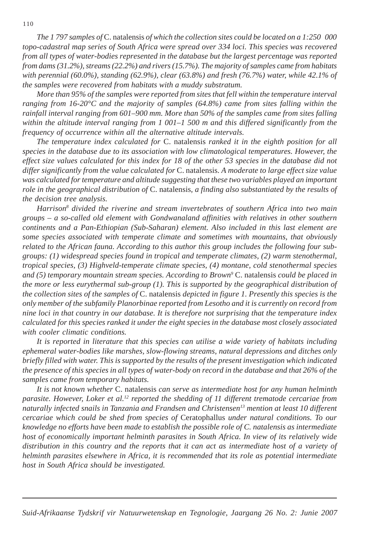*The 1 797 samples of* C. natalensis *of which the collection sites could be located on a 1:250 000 topo-cadastral map series of South Africa were spread over 334 loci. This species was recovered from all types of water-bodies represented in the database but the largest percentage was reported from dams (31.2%), streams (22.2%) and rivers (15.7%). The majority of samples came from habitats with perennial (60.0%), standing (62.9%), clear (63.8%) and fresh (76.7%) water, while 42.1% of the samples were recovered from habitats with a muddy substratum.*

*More than 95% of the samples were reported from sites that fell within the temperature interval ranging from 16-20°C and the majority of samples (64.8%) came from sites falling within the rainfall interval ranging from 601–900 mm. More than 50% of the samples came from sites falling within the altitude interval ranging from 1 001–1 500 m and this differed significantly from the frequency of occurrence within all the alternative altitude intervals.*

*The temperature index calculated for* C. natalensis *ranked it in the eighth position for all species in the database due to its association with low climatological temperatures. However, the effect size values calculated for this index for 18 of the other 53 species in the database did not differ significantly from the value calculated for* C. natalensis*. A moderate to large effect size value was calculated for temperature and altitude suggesting that these two variables played an important role in the geographical distribution of* C. natalensis*, a finding also substantiated by the results of the decision tree analysis.*

*Harrison8 divided the riverine and stream invertebrates of southern Africa into two main groups – a so-called old element with Gondwanaland affinities with relatives in other southern continents and a Pan-Ethiopian (Sub-Saharan) element. Also included in this last element are some species associated with temperate climate and sometimes with mountains, that obviously related to the African fauna. According to this author this group includes the following four subgroups: (1) widespread species found in tropical and temperate climates, (2) warm stenothermal, tropical species, (3) Highveld-temperate climate species, (4) montane, cold stenothermal species and (5) temporary mountain stream species. According to Brown9* C. natalensis *could be placed in the more or less eurythermal sub-group (1). This is supported by the geographical distribution of the collection sites of the samples of* C. natalensis *depicted in figure 1. Presently this species is the only member of the subfamily Planorbinae reported from Lesotho and it is currently on record from nine loci in that country in our database. It is therefore not surprising that the temperature index calculated for this species ranked it under the eight species in the database most closely associated with cooler climatic conditions.*

*It is reported in literature that this species can utilise a wide variety of habitats including ephemeral water-bodies like marshes, slow-flowing streams, natural depressions and ditches only briefly filled with water. This is supported by the results of the present investigation which indicated the presence of this species in all types of water-body on record in the database and that 26% of the samples came from temporary habitats.*

*It is not known whether* C. natalensis *can serve as intermediate host for any human helminth parasite. However, Loker et al.12 reported the shedding of 11 different trematode cercariae from naturally infected snails in Tanzania and Frandsen and Christensen13 mention at least 10 different cercariae which could be shed from species of* Ceratophallus *under natural conditions. To our knowledge no efforts have been made to establish the possible role of C. natalensis as intermediate host of economically important helminth parasites in South Africa. In view of its relatively wide distribution in this country and the reports that it can act as intermediate host of a variety of helminth parasites elsewhere in Africa, it is recommended that its role as potential intermediate host in South Africa should be investigated.*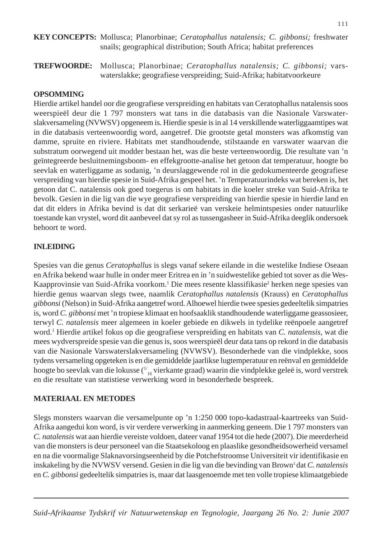**KEY CONCEPTS:** Mollusca; Planorbinae; *Ceratophallus natalensis; C. gibbonsi;* freshwater snails; geographical distribution; South Africa; habitat preferences

**TREFWOORDE:** Mollusca; Planorbinae; *Ceratophallus natalensis; C. gibbonsi;* varswaterslakke; geografiese verspreiding; Suid-Afrika; habitatvoorkeure

## **OPSOMMING**

Hierdie artikel handel oor die geografiese verspreiding en habitats van Ceratophallus natalensis soos weerspieël deur die 1 797 monsters wat tans in die databasis van die Nasionale Varswaterslakversameling (NVWSV) opgeneem is. Hierdie spesie is in al 14 verskillende waterliggaamtipes wat in die databasis verteenwoordig word, aangetref. Die grootste getal monsters was afkomstig van damme, spruite en riviere. Habitats met standhoudende, stilstaande en varswater waarvan die substratum oorwegend uit modder bestaan het, was die beste verteenwoordig. Die resultate van 'n geïntegreerde besluitnemingsboom- en effekgrootte-analise het getoon dat temperatuur, hoogte bo seevlak en waterliggame as sodanig, 'n deurslaggewende rol in die gedokumenteerde geografiese verspreiding van hierdie spesie in Suid-Afrika gespeel het. 'n Temperatuurindeks wat bereken is, het getoon dat C. natalensis ook goed toegerus is om habitats in die koeler streke van Suid-Afrika te bevolk. Gesien in die lig van die wye geografiese verspreiding van hierdie spesie in hierdie land en dat dit elders in Afrika bevind is dat dit serkarieë van verskeie helmintspesies onder natuurlike toestande kan vrystel, word dit aanbeveel dat sy rol as tussengasheer in Suid-Afrika deeglik ondersoek behoort te word.

## **INLEIDING**

Spesies van die genus *Ceratophallus* is slegs vanaf sekere eilande in die westelike Indiese Oseaan en Afrika bekend waar hulle in onder meer Eritrea en in 'n suidwestelike gebied tot sover as die Wes-Kaapprovinsie van Suid-Afrika voorkom.<sup>1</sup> Die mees resente klassifikasie<sup>2</sup> herken nege spesies van hierdie genus waarvan slegs twee, naamlik *Ceratophallus natalensis* (Krauss) en *Ceratophallus gibbonsi* (Nelson) in Suid-Afrika aangetref word. Alhoewel hierdie twee spesies gedeeltelik simpatries is, word *C. gibbonsi* met 'n tropiese klimaat en hoofsaaklik standhoudende waterliggame geassosieer, terwyl *C. natalensis* meer algemeen in koeler gebiede en dikwels in tydelike reënpoele aangetref word.1 Hierdie artikel fokus op die geografiese verspreiding en habitats van *C. natalensis*, wat die mees wydverspreide spesie van die genus is, soos weerspieël deur data tans op rekord in die databasis van die Nasionale Varswaterslakversameling (NVWSV). Besonderhede van die vindplekke, soos tydens versameling opgeteken is en die gemiddelde jaarlikse lugtemperatuur en reënval en gemiddelde hoogte bo seevlak van die lokusse ( $\frac{11}{16}$  vierkante graad) waarin die vindplekke geleë is, word verstrek en die resultate van statistiese verwerking word in besonderhede bespreek.

## **MATERIAAL EN METODES**

Slegs monsters waarvan die versamelpunte op 'n 1:250 000 topo-kadastraal-kaartreeks van Suid-Afrika aangedui kon word, is vir verdere verwerking in aanmerking geneem. Die 1 797 monsters van *C. natalensis* wat aan hierdie vereiste voldoen, dateer vanaf 1954 tot die hede (2007). Die meerderheid van die monsters is deur personeel van die Staatsekoloog en plaaslike gesondheidsowerheid versamel en na die voormalige Slaknavorsingseenheid by die Potchefstroomse Universiteit vir identifikasie en inskakeling by die NVWSV versend. Gesien in die lig van die bevinding van Brown<sup>1</sup> dat *C. natalensis* en *C. gibbonsi* gedeeltelik simpatries is, maar dat laasgenoemde met ten volle tropiese klimaatgebiede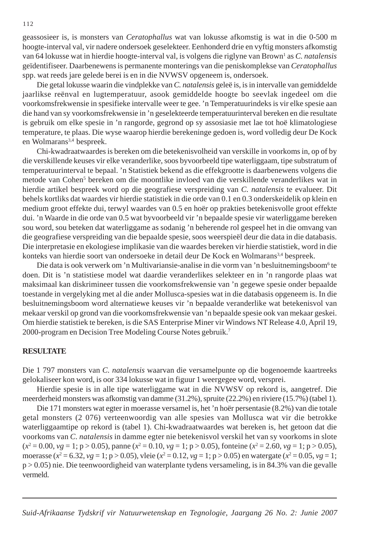geassosieer is, is monsters van *Ceratophallus* wat van lokusse afkomstig is wat in die 0-500 m hoogte-interval val, vir nadere ondersoek geselekteer. Eenhonderd drie en vyftig monsters afkomstig van 64 lokusse wat in hierdie hoogte-interval val, is volgens die riglyne van Brown<sup>1</sup> as *C. natalensis* geïdentifiseer. Daarbenewens is permanente monterings van die peniskomplekse van *Ceratophallus* spp. wat reeds jare gelede berei is en in die NVWSV opgeneem is, ondersoek.

Die getal lokusse waarin die vindplekke van *C. natalensis* geleë is, is in intervalle van gemiddelde jaarlikse reënval en lugtemperatuur, asook gemiddelde hoogte bo seevlak ingedeel om die voorkomsfrekwensie in spesifieke intervalle weer te gee. 'n Temperatuurindeks is vir elke spesie aan die hand van sy voorkomsfrekwensie in 'n geselekteerde temperatuurinterval bereken en die resultate is gebruik om elke spesie in 'n rangorde, gegrond op sy assosiasie met lae tot hoë klimatologiese temperature, te plaas. Die wyse waarop hierdie berekeninge gedoen is, word volledig deur De Kock en Wolmarans<sup>3,4</sup> bespreek.

Chi-kwadraatwaardes is bereken om die betekenisvolheid van verskille in voorkoms in, op of by die verskillende keuses vir elke veranderlike, soos byvoorbeeld tipe waterliggaam, tipe substratum of temperatuurinterval te bepaal. 'n Statistiek bekend as die effekgrootte is daarbenewens volgens die metode van Cohen<sup>5</sup> bereken om die moontlike invloed van die verskillende veranderlikes wat in hierdie artikel bespreek word op die geografiese verspreiding van *C. natalensis* te evalueer. Dit behels kortliks dat waardes vir hierdie statistiek in die orde van 0.1 en 0.3 onderskeidelik op klein en medium groot effekte dui, terwyl waardes van 0.5 en hoër op prakties betekenisvolle groot effekte dui. 'n Waarde in die orde van 0.5 wat byvoorbeeld vir 'n bepaalde spesie vir waterliggame bereken sou word, sou beteken dat waterliggame as sodanig 'n beherende rol gespeel het in die omvang van die geografiese verspreiding van die bepaalde spesie, soos weerspieël deur die data in die databasis. Die interpretasie en ekologiese implikasie van die waardes bereken vir hierdie statistiek, word in die konteks van hierdie soort van ondersoeke in detail deur De Kock en Wolmarans<sup>3,4</sup> bespreek.

Die data is ook verwerk om 'n Multivariansie-analise in die vorm van 'n besluitnemingsboom<sup>6</sup> te doen. Dit is 'n statistiese model wat daardie veranderlikes selekteer en in 'n rangorde plaas wat maksimaal kan diskrimineer tussen die voorkomsfrekwensie van 'n gegewe spesie onder bepaalde toestande in vergelyking met al die ander Mollusca-spesies wat in die databasis opgeneem is. In die besluitnemingsboom word alternatiewe keuses vir 'n bepaalde veranderlike wat betekenisvol van mekaar verskil op grond van die voorkomsfrekwensie van 'n bepaalde spesie ook van mekaar geskei. Om hierdie statistiek te bereken, is die SAS Enterprise Miner vir Windows NT Release 4.0, April 19, 2000-program en Decision Tree Modeling Course Notes gebruik.7

#### **RESULTATE**

Die 1 797 monsters van *C. natalensis* waarvan die versamelpunte op die bogenoemde kaartreeks gelokaliseer kon word, is oor 334 lokusse wat in figuur 1 weergegee word, versprei.

Hierdie spesie is in alle tipe waterliggame wat in die NVWSV op rekord is, aangetref. Die meerderheid monsters was afkomstig van damme (31.2%), spruite (22.2%) en riviere (15.7%) (tabel 1).

Die 171 monsters wat egter in moerasse versamel is, het 'n hoër persentasie (8.2%) van die totale getal monsters (2 076) verteenwoordig van alle spesies van Mollusca wat vir die betrokke waterliggaamtipe op rekord is (tabel 1). Chi-kwadraatwaardes wat bereken is, het getoon dat die voorkoms van *C. natalensis* in damme egter nie betekenisvol verskil het van sy voorkoms in slote  $(x^2 = 0.00, vg = 1; p > 0.05)$ , panne  $(x^2 = 0.10, vg = 1; p > 0.05)$ , fonteine  $(x^2 = 2.60, vg = 1; p > 0.05)$ , moerasse ( $x^2 = 6.32$ ,  $yg = 1$ ; p > 0.05), vleie ( $x^2 = 0.12$ ,  $vg = 1$ ; p > 0.05) en watergate ( $x^2 = 0.05$ ,  $vg = 1$ ; p > 0.05) nie. Die teenwoordigheid van waterplante tydens versameling, is in 84.3% van die gevalle vermeld.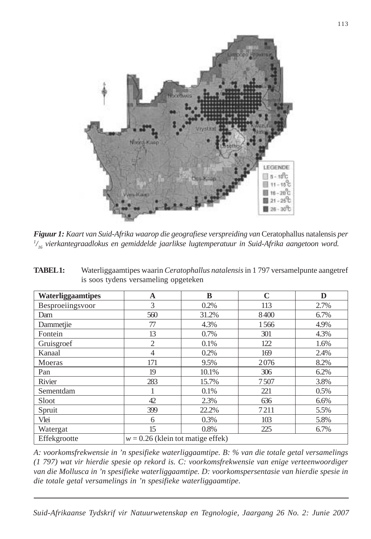

*Figuur 1: Kaart van Suid-Afrika waarop die geografiese verspreiding van Ceratophallus natalensis per 1 / 16 vierkantegraadlokus en gemiddelde jaarlikse lugtemperatuur in Suid-Afrika aangetoon word.*

| <b>TABEL1:</b> | Waterliggaamtipes waarin Ceratophallus natalensis in 1797 versamelpunte aangetref |
|----------------|-----------------------------------------------------------------------------------|
|                | is soos tydens versameling opgeteken                                              |

| Waterliggaamtipes | A                                   | B     | $\mathbf C$ | D    |  |  |  |  |  |
|-------------------|-------------------------------------|-------|-------------|------|--|--|--|--|--|
| Besproeiingsvoor  | 3                                   | 0.2%  | 113         | 2.7% |  |  |  |  |  |
| Dam               | 560                                 | 31.2% | 8400        | 6.7% |  |  |  |  |  |
| Dammetjie         | 77                                  | 4.3%  | 1566        | 4.9% |  |  |  |  |  |
| Fontein           | 13                                  | 0.7%  | 301         | 4.3% |  |  |  |  |  |
| Gruisgroef        | $\overline{2}$                      | 0.1%  | 122         | 1.6% |  |  |  |  |  |
| Kanaal            | $\overline{4}$                      | 0.2%  | 169         | 2.4% |  |  |  |  |  |
| Moeras            | 171                                 | 9.5%  | 2076        | 8.2% |  |  |  |  |  |
| Pan               | 19                                  | 10.1% | 306         | 6.2% |  |  |  |  |  |
| Rivier            | 283                                 | 15.7% | 7507        | 3.8% |  |  |  |  |  |
| Sementdam         |                                     | 0.1%  | 221         | 0.5% |  |  |  |  |  |
| Sloot             | 42                                  | 2.3%  | 636         | 6.6% |  |  |  |  |  |
| Spruit            | 399                                 | 22.2% | 7211        | 5.5% |  |  |  |  |  |
| Vlei              | 6                                   | 0.3%  | 103         | 5.8% |  |  |  |  |  |
| Watergat          | 15                                  | 0.8%  | 225         | 6.7% |  |  |  |  |  |
| Effekgrootte      | $w = 0.26$ (klein tot matige effek) |       |             |      |  |  |  |  |  |

*A: voorkomsfrekwensie in 'n spesifieke waterliggaamtipe. B: % van die totale getal versamelings (1 797) wat vir hierdie spesie op rekord is. C: voorkomsfrekwensie van enige verteenwoordiger van die Mollusca in 'n spesifieke waterliggaamtipe. D: voorkomspersentasie van hierdie spesie in die totale getal versamelings in 'n spesifieke waterliggaamtipe*.

*Suid-Afrikaanse Tydskrif vir Natuurwetenskap en Tegnologie, Jaargang 26 No. 2: Junie 2007*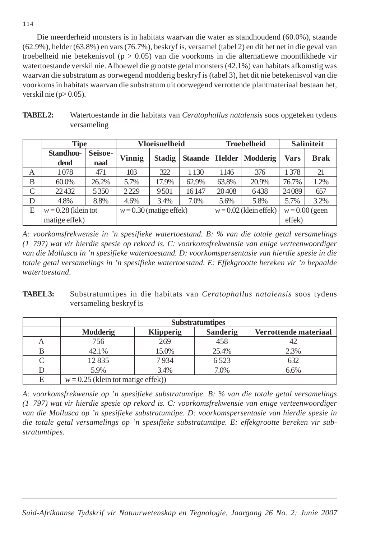Die meerderheid monsters is in habitats waarvan die water as standhoudend (60.0%), staande (62.9%), helder (63.8%) en vars (76.7%), beskryf is, versamel (tabel 2) en dit het net in die geval van troebelheid nie betekenisvol ( $p > 0.05$ ) van die voorkoms in die alternatiewe moontlikhede vir watertoestande verskil nie. Alhoewel die grootste getal monsters (42.1%) van habitats afkomstig was waarvan die substratum as oorwegend modderig beskryf is (tabel 3), het dit nie betekenisvol van die voorkoms in habitats waarvan die substratum uit oorwegend verrottende plantmateriaal bestaan het, verskil nie  $(p>0.05)$ .

| <b>TABEL2:</b> | Watertoestande in die habitats van Ceratophallus natalensis soos opgeteken tydens |
|----------------|-----------------------------------------------------------------------------------|
|                | versameling                                                                       |

|   | <b>Tipe</b>           |         | <b>Vloeisnelheid</b>      |               |                | <b>Troebelheid</b> | <b>Saliniteit</b>        |                  |             |
|---|-----------------------|---------|---------------------------|---------------|----------------|--------------------|--------------------------|------------------|-------------|
|   | <b>Standhou-</b>      | Seisoe- | Vinnig                    | <b>Stadig</b> | <b>Staande</b> | Helder             | <b>Modderig</b>          | Vars             | <b>Brak</b> |
|   | dend                  | naal    |                           |               |                |                    |                          |                  |             |
| A | 1078                  | 471     | 103                       | 322           | 1 1 3 0        | 1146               | 376                      | 1378             | 21          |
| B | 60.0%                 | 26.2%   | 17.9%<br>5.7%             |               | 62.9%          | 63.8%              | 20.9%                    | 76.7%            | 1.2%        |
| C | 22432                 | 5350    | 2229                      | 9501          | 16147          | 20408              | 6438                     | 24089            | 657         |
| D | 4.8%                  | 8.8%    | 4.6%                      | 3.4%          | 7.0%           | 5.6%               | 5.8%                     | 5.7%             | 3.2%        |
| E | $w = 0.28$ (klein tot |         | $w = 0.30$ (matige effek) |               |                |                    | $w = 0.02$ (klein effek) | $w = 0.00$ (geen |             |
|   | matige effek)         |         |                           |               |                |                    |                          | effek)           |             |

*A: voorkomsfrekwensie in 'n spesifieke watertoestand. B: % van die totale getal versamelings (1 797) wat vir hierdie spesie op rekord is. C: voorkomsfrekwensie van enige verteenwoordiger van die Mollusca in 'n spesifieke watertoestand. D: voorkomspersentasie van hierdie spesie in die totale getal versamelings in 'n spesifieke watertoestand. E: Effekgrootte bereken vir 'n bepaalde watertoestand.*

**TABEL 3:** Substratumtipes in die habitats van *Ceratophallus natalensis* soos tydens versameling beskryf is

|   | <b>Substratumtipes</b>               |                  |                       |         |  |  |  |  |  |  |  |
|---|--------------------------------------|------------------|-----------------------|---------|--|--|--|--|--|--|--|
|   | <b>Modderig</b>                      | <b>Klipperig</b> | Verrottende materiaal |         |  |  |  |  |  |  |  |
| А | 756                                  | 269              | 458                   |         |  |  |  |  |  |  |  |
|   | 42.1%                                | 15.0%            | 25.4%                 | 2.3%    |  |  |  |  |  |  |  |
|   | 12835                                | 7934             | 6523                  | 632     |  |  |  |  |  |  |  |
|   | 5.9%                                 | 3.4%             | 7.0%                  | $6.6\%$ |  |  |  |  |  |  |  |
| E | $w = 0.25$ (klein tot matige effek)) |                  |                       |         |  |  |  |  |  |  |  |

*A: voorkomsfrekwensie op 'n spesifieke substratumtipe. B: % van die totale getal versamelings (1 797) wat vir hierdie spesie op rekord is. C: voorkomsfrekwensie van enige verteenwoordiger van die Mollusca op 'n spesifieke substratumtipe. D: voorkomspersentasie van hierdie spesie in die totale getal versamelings op 'n spesifieke substratumtipe. E: effekgrootte bereken vir substratumtipes.*

114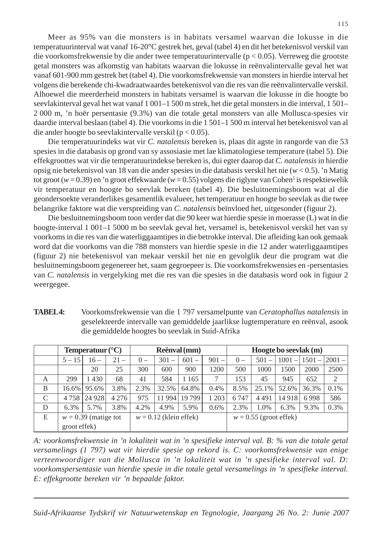Meer as 95% van die monsters is in habitats versamel waarvan die lokusse in die temperatuurinterval wat vanaf 16-20°C gestrek het, geval (tabel 4) en dit het betekenisvol verskil van die voorkomsfrekwensie by die ander twee temperatuurintervalle (p < 0.05). Verreweg die grootste getal monsters was afkomstig van habitats waarvan die lokusse in reënvalintervalle geval het wat vanaf 601-900 mm gestrek het (tabel 4). Die voorkomsfrekwensie van monsters in hierdie interval het volgens die berekende chi-kwadraatwaardes betekenisvol van die res van die reënvalintervalle verskil. Alhoewel die meerderheid monsters in habitats versamel is waarvan die lokusse in die hoogte bo seevlakinterval geval het wat vanaf 1 001–1 500 m strek, het die getal monsters in die interval, 1 501– 2 000 m, 'n hoër persentasie (9.3%) van die totale getal monsters van alle Mollusca-spesies vir daardie interval beslaan (tabel 4). Die voorkoms in die 1 501–1 500 m interval het betekenisvol van al die ander hoogte bo seevlakintervalle verskil (p < 0.05).

Die temperatuurindeks wat vir *C. natalensis* bereken is, plaas dit agste in rangorde van die 53 spesies in die databasis op grond van sy assosiasie met lae klimatologiese temperature (tabel 5). Die effekgroottes wat vir die temperatuurindekse bereken is, dui egter daarop dat *C. natalensis* in hierdie opsig nie betekenisvol van 18 van die ander spesies in die databasis verskil het nie (*w* < 0.5). 'n Matig tot groot (*w* = 0.39) en 'n groot effekwaarde (*w* = 0.55) volgens die riglyne van Cohen<sup>5</sup> is respektiewelik vir temperatuur en hoogte bo seevlak bereken (tabel 4). Die besluitnemingsboom wat al die geondersoekte veranderlikes gesamentlik evalueer, het temperatuur en hoogte bo seevlak as die twee belangrike faktore wat die verspreiding van *C. natalensis* beïnvloed het, uitgesonder (figuur 2).

Die besluitnemingsboom toon verder dat die 90 keer wat hierdie spesie in moerasse (L) wat in die hoogte-interval 1 001–1 5000 m bo seevlak geval het, versamel is, betekenisvol verskil het van sy voorkoms in die res van die waterliggaamtipes in die betrokke interval. Die afleiding kan ook gemaak word dat die voorkoms van die 788 monsters van hierdie spesie in die 12 ander waterliggaamtipes (figuur 2) nie betekenisvol van mekaar verskil het nie en gevolglik deur die program wat die besluitnemingsboom gegenereer het, saam gegroepeer is. Die voorkomsfrekwensies en -persentasies van *C. natalensis* in vergelyking met die res van die spesies in die databasis word ook in figuur 2 weergegee.

- **Temperatuur** (°C) **Reënval (mm)** Hoogte bo seevlak (m)  $5-15$  |  $16-$  |  $21-$  |  $0-$  |  $301-$  |  $601-$  |  $901-$  |  $0-$  |  $501-$  |  $1001-$  |  $1501 2001-$ 20 | 25 | 300 | 600 | 900 | 1200 | 500 | 1000 | 1500 | 2000 | 2500 A | 299 | 1430 | 68 | 41 | 584 | 1165 | 7 | 153 | 45 | 945 | 652 | 2 B | 16.6% | 95.6% | 3.8% | 2.3% | 32.5% | 64.8% | 0.4% | 8.5% | 25.1% | 52.6% | 36.3% | 0.1% C 4 758 24 928 4 276 975 11 994 19 799 1 203 6 747 4 491 14 918 6 998 586 D 6.3% 5.7% 3.8% 4.2% 4.9% 5.9% 0.6% 2.3% 1.0% 6.3% 9.3% 0.3%
- **TABEL 4:** Voorkomsfrekwensie van die 1 797 versamelpunte van *Ceratophallus natalensis* in geselekteerde intervalle van gemiddelde jaarlikse lugtemperature en reënval, asook die gemiddelde hoogtes bo seevlak in Suid-Afrika

*A: voorkomsfrekwensie in 'n lokaliteit wat in 'n spesifieke interval val. B: % van die totale getal versamelings (1 797) wat vir hierdie spesie op rekord is. C: voorkomsfrekwensie van enige verteenwoordiger van die Mollusca in 'n lokaliteit wat in 'n spesifieke interval val. D: voorkomspersentasie van hierdie spesie in die totale getal versamelings in 'n spesifieke interval. E: effekgrootte bereken vir 'n bepaalde faktor.*

E  $\vert w = 0.39$  (matige tot  $\vert w = 0.12$  (klein effek)  $\vert w = 0.55$  (groot effek)

groot effek)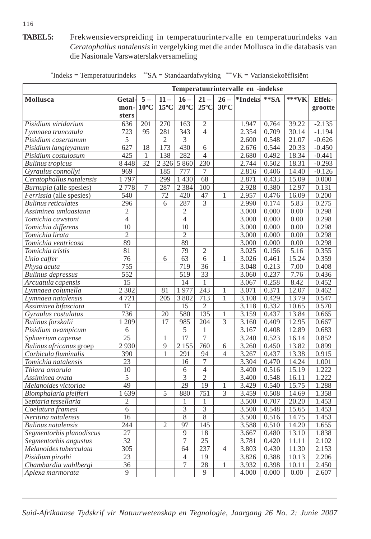# **TABEL 5:** Frekwensieverspreiding in temperatuurintervalle en temperatuurindeks van *Ceratophallus natalensis* in vergelyking met die ander Mollusca in die databasis van die Nasionale Varswaterslakversameling

|                            | Temperatuurintervalle en -indekse |                        |                          |                                  |                          |                          |               |                |               |                          |
|----------------------------|-----------------------------------|------------------------|--------------------------|----------------------------------|--------------------------|--------------------------|---------------|----------------|---------------|--------------------------|
| Mollusca                   | <b>Getal-</b><br>mon-<br>sters    | $5-$<br>$10^{\circ}$ C | $11 -$<br>$15^{\circ}$ C | $16-$<br>$20^{\circ}$ C          | $21 -$<br>$25^{\circ}$ C | $26 -$<br>$30^{\circ}$ C | *Indeks ** SA |                | *** <b>VK</b> | <b>Effek-</b><br>grootte |
| Pisidium viridarium        | 636                               | 201                    | 270                      | 163                              | $\overline{c}$           |                          | 1.947         | 0.764          | 39.22         | $-2.135$                 |
| Lymnaea truncatula         | 723                               | 95                     | 281                      | 343                              | $\overline{4}$           |                          | 2.354         | 0.709          | 30.14         | $-1.194$                 |
| Pisidium casertanum        | 5                                 |                        | $\overline{2}$           | 3                                |                          |                          | 2.600         | 0.548          | 21.07         | $-0.626$                 |
| Pisidium langleyanum       | 627                               | 18                     | 173                      | 430                              | 6                        |                          | 2.676         | 0.544          | 20.33         | $-0.450$                 |
| Pisidium costulosum        | 425                               | 1                      | 138                      | 282                              | $\overline{4}$           |                          | 2.680         | 0.492          | 18.34         | $-0.441$                 |
| <b>Bulinus</b> tropicus    | 8448                              | 32                     | 2 3 2 6                  | 5 8 6 0                          | 230                      |                          | 2.744         | 0.502          | 18.31         | $-0.293$                 |
| Gyraulus connollyi         | 969                               |                        | 185                      | 777                              | 7                        |                          | 2.816         | 0.406          | 14.40         | $-0.126$                 |
| Ceratophallus natalensis   | 1797                              |                        | 299                      | 1430                             | 68                       |                          | 2.871         | 0.433          | 15.09         | 0.000                    |
| Burnupia (alle spesies)    | 2778                              | 7                      | 287                      | 2 3 8 4                          | 100                      |                          | 2.928         | 0.380          | 12.97         | 0.131                    |
| Ferrissia (alle spesies)   | 540                               |                        | 72                       | 420                              | 47                       | 1                        | 2.957         | 0.476          | 16.09         | 0.200                    |
| <b>Bulinus reticulates</b> | 296                               |                        | 6                        | 287                              | 3                        |                          | 2.990         | 0.174          | 5.83          | 0.275                    |
| Assiminea umlaasiana       | $\mathfrak{2}$                    |                        |                          | $\mathfrak{2}$                   |                          |                          | 3.000         | 0.000          | 0.00          | 0.298                    |
| Tomichia cawstoni          | $\overline{4}$                    |                        |                          | $\overline{4}$                   |                          |                          | 3.000         | 0.000          | 0.00          | 0.298                    |
| Tomichia differens         | 10                                |                        |                          | $\overline{10}$                  |                          |                          | 3.000         | 0.000          | 0.00          | 0.298                    |
| Tomichia lirata            | $\overline{2}$                    |                        |                          | $\overline{2}$                   |                          |                          | 3.000         | 0.000          | 0.00          | 0.298                    |
| Tomichia ventricosa        | $\overline{89}$                   |                        |                          | 89                               |                          |                          | 3.000         | 0.000          | 0.00          | 0.298                    |
| Tomichia tristis           | 81                                |                        |                          | 79                               | $\overline{2}$           |                          | 3.025         | 0.156          | 5.16          | 0.355                    |
| Unio caffer                | 76                                |                        | 6                        | 63                               | 6                        | 1                        | 3.026         | 0.461          | 15.24         | 0.359                    |
| Physa acuta                | 755                               |                        |                          | 719                              | 36                       |                          | 3.048         | 0.213          | 7.00          | 0.408                    |
| <b>Bulinus depressus</b>   | $\overline{552}$                  |                        |                          | 519                              | 33                       |                          | 3.060         | 0.237          | 7.76          | 0.436                    |
| Arcuatula capensis         | 15                                |                        |                          | 14                               | 1                        |                          | 3.067         | 0.258          | 8.42          | 0.452                    |
| Lymnaea columella          | 2 3 0 2                           |                        | 81                       | 1977                             | $\overline{243}$         | 1                        | 3.071         | 0.371          | 12.07         | 0.462                    |
| Lymnaea natalensis         | 4721                              |                        | 205                      | 3 8 0 2                          | 713                      | $\mathbf{1}$             | 3.108         | 0.429          | 13.79         | 0.547                    |
| Assiminea bifasciata       | 17                                |                        |                          | 15                               | $\overline{2}$           |                          | 3.118         | 0.332          | 10.65         | 0.570                    |
| Gyraulus costulatus        | 736                               |                        | 20                       | 580                              | 135                      | 1                        | 3.159         | 0.437          | 13.84         | 0.665                    |
| Bulinus forskalii          | 1 2 0 9                           |                        | 17                       | 985                              | $\overline{204}$         | $\overline{3}$           | 3.160         | 0.409          | 12.95         | 0.667                    |
| Pisidium ovampicum         | 6                                 |                        |                          | $\overline{5}$                   | $\mathbf{1}$             |                          | 3.167         | 0.408          | 12.89         | 0.683                    |
| Sphaerium capense          | $\overline{25}$                   |                        | 1                        | $\overline{17}$                  | 7                        |                          | 3.240         | 0.523          | 16.14         | 0.852                    |
| Bulinus africanus groep    | 2930                              |                        | 9                        | 2 1 5 5                          | 760                      | 6                        | 3.260         | 0.450          | 13.82         | 0.899                    |
| Corbicula fluminalis       | 390                               |                        | $\mathbf{1}$             | 291                              | 94                       | $\overline{4}$           | 3.267         | 0.437          | 13.38         | 0.915                    |
| Tomichia natalensis        | $\overline{23}$                   |                        |                          | 16                               | 7                        |                          | 3.304         | 0.470          | 14.24         | 1.001                    |
| Thiara amarula             | 10                                |                        |                          | 6                                | $\overline{4}$           |                          | 3.400         | 0.516          | 15.19         | 1.222                    |
| Assiminea ovata            | $\overline{5}$                    |                        |                          | $\overline{3}$                   | $\overline{2}$           |                          | 3.400         | 0.548          | 16.11         | 1.222                    |
| Melanoides victoriae       | $\overline{49}$                   |                        |                          | $\overline{29}$                  | 19                       | 1                        | 3.429         | 0.540          | 15.75         | 1.288                    |
| Biomphalaria pfeifferi     | 1639                              |                        | 5                        | 880                              | 751                      | $\overline{3}$           | 3.459         | 0.508          | 14.69         | 1.358                    |
| Septaria tessellaria       | $\mathfrak{2}$                    |                        |                          | 1                                | $\mathbf{1}$             |                          | 3.500         | 0.707          | 20.20         | 1.453                    |
| Coelatura framesi          | 6                                 |                        |                          | $\overline{3}$<br>$\overline{8}$ | $\overline{3}$           |                          | 3.500         | 0.548          | 15.65         | 1.453                    |
| Neritina natalensis        | 16                                |                        |                          |                                  | 8                        |                          | 3.500         | 0.516          | 14.75         | 1.453                    |
| <b>Bulinus</b> natalensis  | 244                               |                        | $\overline{2}$           | $\overline{97}$                  | 145                      |                          | 3.588         | 0.510          | 14.20         | 1.655                    |
| Segmentorbis planodiscus   | $\overline{27}$                   |                        |                          | 9<br>$\overline{7}$              | 18                       |                          | 3.667         | 0.480          | 13.10         | 1.838                    |
| Segmentorbis angustus      | 32                                |                        |                          |                                  | 25                       |                          | 3.781         | 0.420          | 11.11         | 2.102                    |
| Melanoides tuberculata     | 305<br>$\overline{23}$            |                        |                          | 64                               | 237                      | 4                        | 3.803         | 0.430          | 11.30         | 2.153                    |
| Pisidium pirothi           |                                   |                        |                          | $\overline{4}$                   | 19                       |                          | 3.826         | 0.388<br>0.398 | 10.13         | 2.206                    |
| Chambardia wahlbergi       | 36<br>$\mathbf Q$                 |                        |                          | $\boldsymbol{7}$                 | 28<br>9                  | 1                        | 3.932         |                | 10.11         | 2.450                    |
| Aplexa marmorata           |                                   |                        |                          |                                  |                          |                          | 4.000         | 0.000          | 0.00          | 2.607                    |

\* Indeks = Temperatuurindeks \*\*SA = Standaardafwyking \*\*\*VK = Variansiekoëffisiënt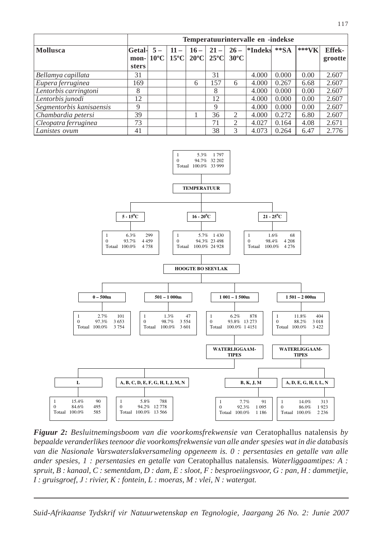|                          | Temperatuurintervalle en -indekse |      |        |                                                                               |        |                          |                  |        |        |                          |
|--------------------------|-----------------------------------|------|--------|-------------------------------------------------------------------------------|--------|--------------------------|------------------|--------|--------|--------------------------|
| Mollusca                 | Getal-<br>mon-<br><b>sters</b>    | $5-$ | $11 -$ | $16 -$<br>$ 10^{\circ}$ C $ 15^{\circ}$ C $ 20^{\circ}$ C $ 25^{\circ}$ C $ $ | $21 -$ | $26 -$<br>$30^{\circ}$ C | $ \cdot $ Indeks | $**SA$ | *** VK | <b>Effek-</b><br>grootte |
| Bellamya capillata       | 31                                |      |        |                                                                               | 31     |                          | 4.000            | 0.000  | 0.00   | 2.607                    |
| Eupera ferruginea        | 169                               |      |        | 6                                                                             | 157    | 6                        | 4.000            | 0.267  | 6.68   | 2.607                    |
| Lentorbis carringtoni    | 8                                 |      |        |                                                                               | 8      |                          | 4.000            | 0.000  | 0.00   | 2.607                    |
| Lentorbis junodi         | 12                                |      |        |                                                                               | 12     |                          | 4.000            | 0.000  | 0.00   | 2.607                    |
| Segmentorbis kanisaensis | 9                                 |      |        |                                                                               | 9      |                          | 4.000            | 0.000  | 0.00   | 2.607                    |
| Chambardia petersi       | 39                                |      |        |                                                                               | 36     | $\mathcal{L}$            | 4.000            | 0.272  | 6.80   | 2.607                    |
| Cleopatra ferruginea     | 73                                |      |        |                                                                               | 71     | 2                        | 4.027            | 0.164  | 4.08   | 2.671                    |
| Lanistes ovum            | 41                                |      |        |                                                                               | 38     | 3                        | 4.073            | 0.264  | 6.47   | 2.776                    |



*Figuur 2: Besluitnemingsboom van die voorkomsfrekwensie van* Ceratophallus natalensis *by bepaalde veranderlikes teenoor die voorkomsfrekwensie van alle ander spesies wat in die databasis van die Nasionale Varswaterslakversameling opgeneem is. 0 : persentasies en getalle van alle ander spesies, 1 : persentasies en getalle van Ceratophallus natalensis. Waterliggaamtipes: A : spruit, B : kanaal, C : sementdam, D : dam, E : sloot, F : besproeiingsvoor, G : pan, H : dammetjie, I : gruisgroef, J : rivier, K : fontein, L : moeras, M : vlei, N : watergat.*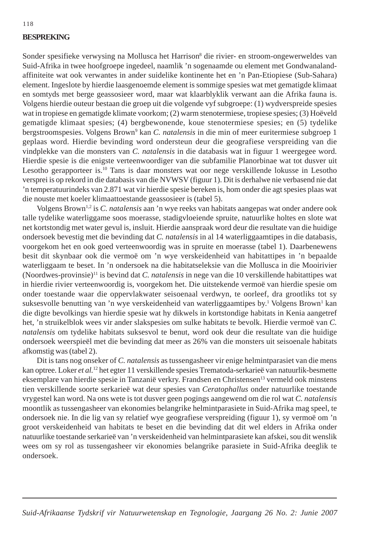#### **BESPREKING**

Sonder spesifieke verwysing na Mollusca het Harrison<sup>8</sup> die rivier- en stroom-ongewerweldes van Suid-Afrika in twee hoofgroepe ingedeel, naamlik 'n sogenaamde ou element met Gondwanalandaffiniteite wat ook verwantes in ander suidelike kontinente het en 'n Pan-Etiopiese (Sub-Sahara) element. Ingeslote by hierdie laasgenoemde element is sommige spesies wat met gematigde klimaat en somtyds met berge geassosieer word, maar wat klaarblyklik verwant aan die Afrika fauna is. Volgens hierdie outeur bestaan die groep uit die volgende vyf subgroepe: (1) wydverspreide spesies wat in tropiese en gematigde klimate voorkom; (2) warm stenotermiese, tropiese spesies; (3) Hoëveld gematigde klimaat spesies; (4) bergbewonende, koue stenotermiese spesies; en (5) tydelike bergstroomspesies. Volgens Brown<sup>9</sup> kan *C. natalensis* in die min of meer euritermiese subgroep 1 geplaas word. Hierdie bevinding word ondersteun deur die geografiese verspreiding van die vindplekke van die monsters van *C. natalensis* in die databasis wat in figuur 1 weergegee word. Hierdie spesie is die enigste verteenwoordiger van die subfamilie Planorbinae wat tot dusver uit Lesotho gerapporteer is.10 Tans is daar monsters wat oor nege verskillende lokusse in Lesotho versprei is op rekord in die databasis van die NVWSV (figuur 1). Dit is derhalwe nie verbasend nie dat 'n temperatuurindeks van 2.871 wat vir hierdie spesie bereken is, hom onder die agt spesies plaas wat die nouste met koeler klimaattoestande geassosieer is (tabel 5).

Volgens Brown1,2 is *C. natalensis* aan 'n wye reeks van habitats aangepas wat onder andere ook talle tydelike waterliggame soos moerasse, stadigvloeiende spruite, natuurlike holtes en slote wat net kortstondig met water gevul is, insluit. Hierdie aanspraak word deur die resultate van die huidige ondersoek bevestig met die bevinding dat *C. natalensis* in al 14 waterliggaamtipes in die databasis, voorgekom het en ook goed verteenwoordig was in spruite en moerasse (tabel 1). Daarbenewens besit dit skynbaar ook die vermoë om 'n wye verskeidenheid van habitattipes in 'n bepaalde waterliggaam te beset. In 'n ondersoek na die habitatseleksie van die Mollusca in die Mooirivier (Noordwes-provinsie)11 is bevind dat *C. natalensis* in nege van die 10 verskillende habitattipes wat in hierdie rivier verteenwoordig is, voorgekom het. Die uitstekende vermoë van hierdie spesie om onder toestande waar die oppervlakwater seisoenaal verdwyn, te oorleef, dra grootliks tot sy suksesvolle benutting van 'n wye verskeidenheid van waterliggaamtipes by.<sup>1</sup> Volgens Brown<sup>1</sup> kan die digte bevolkings van hierdie spesie wat hy dikwels in kortstondige habitats in Kenia aangetref het, 'n struikelblok wees vir ander slakspesies om sulke habitats te bevolk. Hierdie vermoë van *C. natalensis* om tydelike habitats suksesvol te benut, word ook deur die resultate van die huidige ondersoek weerspieël met die bevinding dat meer as 26% van die monsters uit seisoenale habitats afkomstig was (tabel 2).

Dit is tans nog onseker of *C. natalensis* as tussengasheer vir enige helmintparasiet van die mens kan optree. Loker *et al.*12 het egter 11 verskillende spesies Trematoda-serkarieë van natuurlik-besmette eksemplare van hierdie spesie in Tanzanië verkry. Frandsen en Christensen<sup>13</sup> vermeld ook minstens tien verskillende soorte serkarieë wat deur spesies van *Ceratophallus* onder natuurlike toestande vrygestel kan word. Na ons wete is tot dusver geen pogings aangewend om die rol wat *C. natalensis* moontlik as tussengasheer van ekonomies belangrike helmintparasiete in Suid-Afrika mag speel, te ondersoek nie. In die lig van sy relatief wye geografiese verspreiding (figuur 1), sy vermoë om 'n groot verskeidenheid van habitats te beset en die bevinding dat dit wel elders in Afrika onder natuurlike toestande serkarieë van 'n verskeidenheid van helmintparasiete kan afskei, sou dit wenslik wees om sy rol as tussengasheer vir ekonomies belangrike parasiete in Suid-Afrika deeglik te ondersoek.